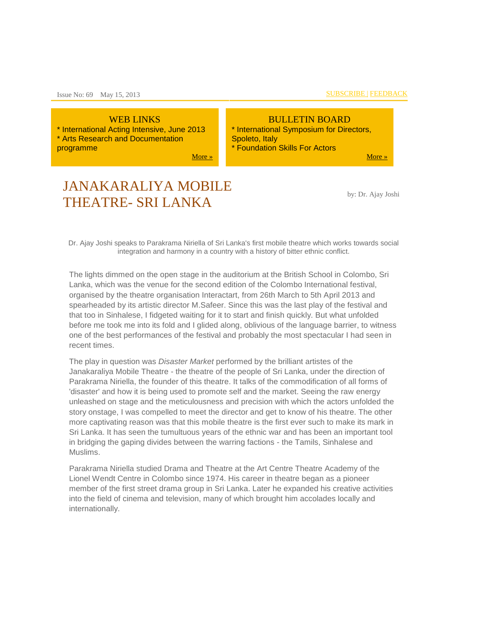WEB LINKS \* International Acting Intensive, June 2013 \* Arts Research and Documentation programme

[More »](http://us-mg5.mail.yahoo.com/neo/#13eb686dfb7071d6_13eb34d4e86a4468_13eb13e9574c3afb_13eb0726a27a5f94_13eae821b6f76928_weblinks)

#### BULLETIN BOARD \* International Symposium for Directors, Spoleto, Italy \* Foundation Skills For Actors

[More »](http://us-mg5.mail.yahoo.com/neo/#13eb686dfb7071d6_13eb34d4e86a4468_13eb13e9574c3afb_13eb0726a27a5f94_13eae821b6f76928_bbitems)

# JANAKARALIYA MOBILE THEATRE- SRI LANKA

by: Dr. Ajay Joshi

Dr. Ajay Joshi speaks to Parakrama Niriella of Sri Lanka's first mobile theatre which works towards social integration and harmony in a country with a history of bitter ethnic conflict.

The lights dimmed on the open stage in the auditorium at the British School in Colombo, Sri Lanka, which was the venue for the second edition of the Colombo International festival, organised by the theatre organisation Interactart, from 26th March to 5th April 2013 and spearheaded by its artistic director M.Safeer. Since this was the last play of the festival and that too in Sinhalese, I fidgeted waiting for it to start and finish quickly. But what unfolded before me took me into its fold and I glided along, oblivious of the language barrier, to witness one of the best performances of the festival and probably the most spectacular I had seen in recent times.

The play in question was *Disaster Market* performed by the brilliant artistes of the Janakaraliya Mobile Theatre - the theatre of the people of Sri Lanka, under the direction of Parakrama Niriella, the founder of this theatre. It talks of the commodification of all forms of 'disaster' and how it is being used to promote self and the market. Seeing the raw energy unleashed on stage and the meticulousness and precision with which the actors unfolded the story onstage, I was compelled to meet the director and get to know of his theatre. The other more captivating reason was that this mobile theatre is the first ever such to make its mark in Sri Lanka. It has seen the tumultuous years of the ethnic war and has been an important tool in bridging the gaping divides between the warring factions - the Tamils, Sinhalese and Muslims.

Parakrama Niriella studied Drama and Theatre at the Art Centre Theatre Academy of the Lionel Wendt Centre in Colombo since 1974. His career in theatre began as a pioneer member of the first street drama group in Sri Lanka. Later he expanded his creative activities into the field of cinema and television, many of which brought him accolades locally and internationally.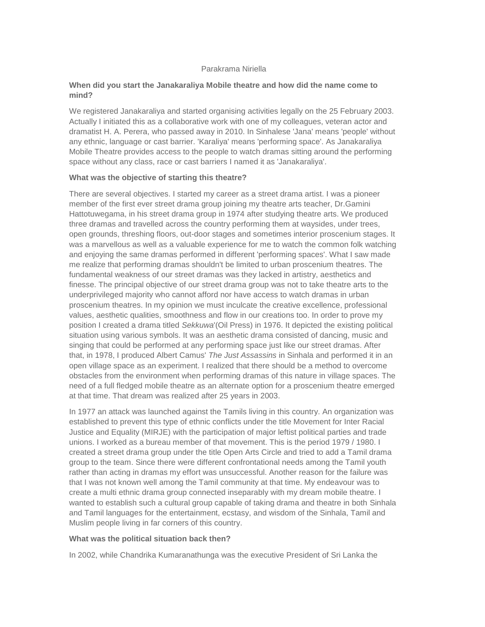#### Parakrama Niriella

#### **When did you start the Janakaraliya Mobile theatre and how did the name come to mind?**

We registered Janakaraliya and started organising activities legally on the 25 February 2003. Actually I initiated this as a collaborative work with one of my colleagues, veteran actor and dramatist H. A. Perera, who passed away in 2010. In Sinhalese 'Jana' means 'people' without any ethnic, language or cast barrier. 'Karaliya' means 'performing space'. As Janakaraliya Mobile Theatre provides access to the people to watch dramas sitting around the performing space without any class, race or cast barriers I named it as 'Janakaraliya'.

#### **What was the objective of starting this theatre?**

There are several objectives. I started my career as a street drama artist. I was a pioneer member of the first ever street drama group joining my theatre arts teacher, Dr.Gamini Hattotuwegama, in his street drama group in 1974 after studying theatre arts. We produced three dramas and travelled across the country performing them at waysides, under trees, open grounds, threshing floors, out-door stages and sometimes interior proscenium stages. It was a marvellous as well as a valuable experience for me to watch the common folk watching and enjoying the same dramas performed in different 'performing spaces'. What I saw made me realize that performing dramas shouldn't be limited to urban proscenium theatres. The fundamental weakness of our street dramas was they lacked in artistry, aesthetics and finesse. The principal objective of our street drama group was not to take theatre arts to the underprivileged majority who cannot afford nor have access to watch dramas in urban proscenium theatres. In my opinion we must inculcate the creative excellence, professional values, aesthetic qualities, smoothness and flow in our creations too. In order to prove my position I created a drama titled *Sekkuwa*'(Oil Press) in 1976. It depicted the existing political situation using various symbols. It was an aesthetic drama consisted of dancing, music and singing that could be performed at any performing space just like our street dramas. After that, in 1978, I produced Albert Camus' *The Just Assassins* in Sinhala and performed it in an open village space as an experiment. I realized that there should be a method to overcome obstacles from the environment when performing dramas of this nature in village spaces. The need of a full fledged mobile theatre as an alternate option for a proscenium theatre emerged at that time. That dream was realized after 25 years in 2003.

In 1977 an attack was launched against the Tamils living in this country. An organization was established to prevent this type of ethnic conflicts under the title Movement for Inter Racial Justice and Equality (MIRJE) with the participation of major leftist political parties and trade unions. I worked as a bureau member of that movement. This is the period 1979 / 1980. I created a street drama group under the title Open Arts Circle and tried to add a Tamil drama group to the team. Since there were different confrontational needs among the Tamil youth rather than acting in dramas my effort was unsuccessful. Another reason for the failure was that I was not known well among the Tamil community at that time. My endeavour was to create a multi ethnic drama group connected inseparably with my dream mobile theatre. I wanted to establish such a cultural group capable of taking drama and theatre in both Sinhala and Tamil languages for the entertainment, ecstasy, and wisdom of the Sinhala, Tamil and Muslim people living in far corners of this country.

#### **What was the political situation back then?**

In 2002, while Chandrika Kumaranathunga was the executive President of Sri Lanka the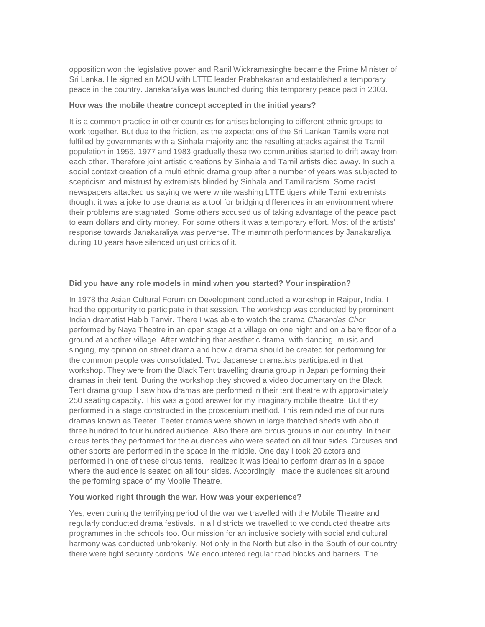opposition won the legislative power and Ranil Wickramasinghe became the Prime Minister of Sri Lanka. He signed an MOU with LTTE leader Prabhakaran and established a temporary peace in the country. Janakaraliya was launched during this temporary peace pact in 2003.

#### **How was the mobile theatre concept accepted in the initial years?**

It is a common practice in other countries for artists belonging to different ethnic groups to work together. But due to the friction, as the expectations of the Sri Lankan Tamils were not fulfilled by governments with a Sinhala majority and the resulting attacks against the Tamil population in 1956, 1977 and 1983 gradually these two communities started to drift away from each other. Therefore joint artistic creations by Sinhala and Tamil artists died away. In such a social context creation of a multi ethnic drama group after a number of years was subjected to scepticism and mistrust by extremists blinded by Sinhala and Tamil racism. Some racist newspapers attacked us saying we were white washing LTTE tigers while Tamil extremists thought it was a joke to use drama as a tool for bridging differences in an environment where their problems are stagnated. Some others accused us of taking advantage of the peace pact to earn dollars and dirty money. For some others it was a temporary effort. Most of the artists' response towards Janakaraliya was perverse. The mammoth performances by Janakaraliya during 10 years have silenced unjust critics of it.

#### **Did you have any role models in mind when you started? Your inspiration?**

In 1978 the Asian Cultural Forum on Development conducted a workshop in Raipur, India. I had the opportunity to participate in that session. The workshop was conducted by prominent Indian dramatist Habib Tanvir. There I was able to watch the drama *Charandas Chor* performed by Naya Theatre in an open stage at a village on one night and on a bare floor of a ground at another village. After watching that aesthetic drama, with dancing, music and singing, my opinion on street drama and how a drama should be created for performing for the common people was consolidated. Two Japanese dramatists participated in that workshop. They were from the Black Tent travelling drama group in Japan performing their dramas in their tent. During the workshop they showed a video documentary on the Black Tent drama group. I saw how dramas are performed in their tent theatre with approximately 250 seating capacity. This was a good answer for my imaginary mobile theatre. But they performed in a stage constructed in the proscenium method. This reminded me of our rural dramas known as Teeter. Teeter dramas were shown in large thatched sheds with about three hundred to four hundred audience. Also there are circus groups in our country. In their circus tents they performed for the audiences who were seated on all four sides. Circuses and other sports are performed in the space in the middle. One day I took 20 actors and performed in one of these circus tents. I realized it was ideal to perform dramas in a space where the audience is seated on all four sides. Accordingly I made the audiences sit around the performing space of my Mobile Theatre.

#### **You worked right through the war. How was your experience?**

Yes, even during the terrifying period of the war we travelled with the Mobile Theatre and regularly conducted drama festivals. In all districts we travelled to we conducted theatre arts programmes in the schools too. Our mission for an inclusive society with social and cultural harmony was conducted unbrokenly. Not only in the North but also in the South of our country there were tight security cordons. We encountered regular road blocks and barriers. The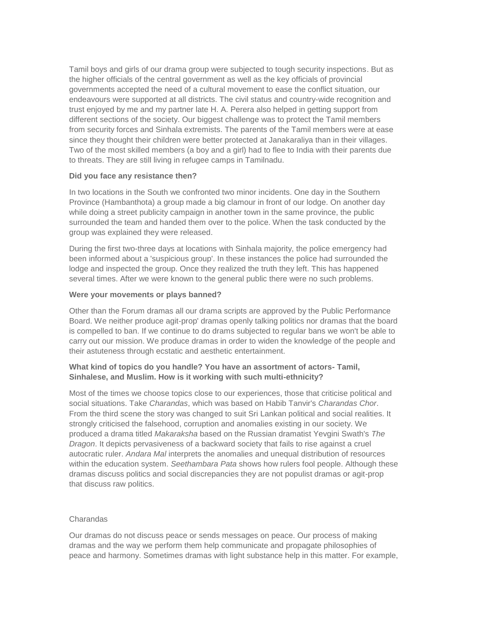Tamil boys and girls of our drama group were subjected to tough security inspections. But as the higher officials of the central government as well as the key officials of provincial governments accepted the need of a cultural movement to ease the conflict situation, our endeavours were supported at all districts. The civil status and country-wide recognition and trust enjoyed by me and my partner late H. A. Perera also helped in getting support from different sections of the society. Our biggest challenge was to protect the Tamil members from security forces and Sinhala extremists. The parents of the Tamil members were at ease since they thought their children were better protected at Janakaraliya than in their villages. Two of the most skilled members (a boy and a girl) had to flee to India with their parents due to threats. They are still living in refugee camps in Tamilnadu.

#### **Did you face any resistance then?**

In two locations in the South we confronted two minor incidents. One day in the Southern Province (Hambanthota) a group made a big clamour in front of our lodge. On another day while doing a street publicity campaign in another town in the same province, the public surrounded the team and handed them over to the police. When the task conducted by the group was explained they were released.

During the first two-three days at locations with Sinhala majority, the police emergency had been informed about a 'suspicious group'. In these instances the police had surrounded the lodge and inspected the group. Once they realized the truth they left. This has happened several times. After we were known to the general public there were no such problems.

#### **Were your movements or plays banned?**

Other than the Forum dramas all our drama scripts are approved by the Public Performance Board. We neither produce agit-prop' dramas openly talking politics nor dramas that the board is compelled to ban. If we continue to do drams subjected to regular bans we won't be able to carry out our mission. We produce dramas in order to widen the knowledge of the people and their astuteness through ecstatic and aesthetic entertainment.

#### **What kind of topics do you handle? You have an assortment of actors- Tamil, Sinhalese, and Muslim. How is it working with such multi-ethnicity?**

Most of the times we choose topics close to our experiences, those that criticise political and social situations. Take *Charandas*, which was based on Habib Tanvir's *Charandas Chor*. From the third scene the story was changed to suit Sri Lankan political and social realities. It strongly criticised the falsehood, corruption and anomalies existing in our society. We produced a drama titled *Makaraksha* based on the Russian dramatist Yevgini Swath's *The Dragon*. It depicts pervasiveness of a backward society that fails to rise against a cruel autocratic ruler. *Andara Mal* interprets the anomalies and unequal distribution of resources within the education system. *Seethambara Pata* shows how rulers fool people. Although these dramas discuss politics and social discrepancies they are not populist dramas or agit-prop that discuss raw politics.

#### Charandas

Our dramas do not discuss peace or sends messages on peace. Our process of making dramas and the way we perform them help communicate and propagate philosophies of peace and harmony. Sometimes dramas with light substance help in this matter. For example,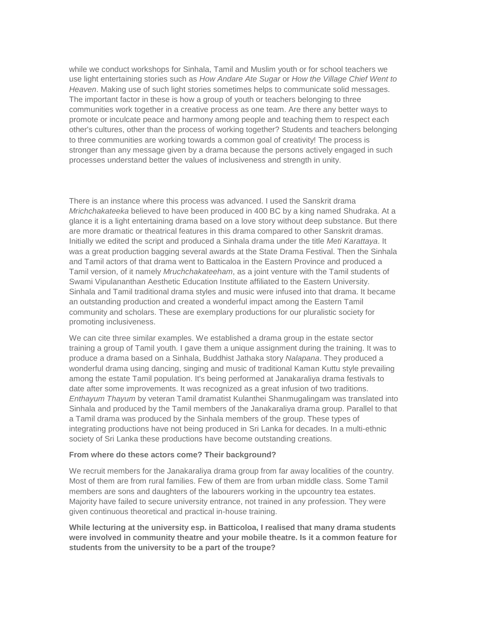while we conduct workshops for Sinhala, Tamil and Muslim youth or for school teachers we use light entertaining stories such as *How Andare Ate Sugar* or *How the Village Chief Went to Heaven*. Making use of such light stories sometimes helps to communicate solid messages. The important factor in these is how a group of youth or teachers belonging to three communities work together in a creative process as one team. Are there any better ways to promote or inculcate peace and harmony among people and teaching them to respect each other's cultures, other than the process of working together? Students and teachers belonging to three communities are working towards a common goal of creativity! The process is stronger than any message given by a drama because the persons actively engaged in such processes understand better the values of inclusiveness and strength in unity.

There is an instance where this process was advanced. I used the Sanskrit drama *Mrichchakateeka* believed to have been produced in 400 BC by a king named Shudraka. At a glance it is a light entertaining drama based on a love story without deep substance. But there are more dramatic or theatrical features in this drama compared to other Sanskrit dramas. Initially we edited the script and produced a Sinhala drama under the title *Meti Karattaya*. It was a great production bagging several awards at the State Drama Festival. Then the Sinhala and Tamil actors of that drama went to Batticaloa in the Eastern Province and produced a Tamil version, of it namely *Mruchchakateeham*, as a joint venture with the Tamil students of Swami Vipulananthan Aesthetic Education Institute affiliated to the Eastern University. Sinhala and Tamil traditional drama styles and music were infused into that drama. It became an outstanding production and created a wonderful impact among the Eastern Tamil community and scholars. These are exemplary productions for our pluralistic society for promoting inclusiveness.

We can cite three similar examples. We established a drama group in the estate sector training a group of Tamil youth. I gave them a unique assignment during the training. It was to produce a drama based on a Sinhala, Buddhist Jathaka story *Nalapana*. They produced a wonderful drama using dancing, singing and music of traditional Kaman Kuttu style prevailing among the estate Tamil population. It's being performed at Janakaraliya drama festivals to date after some improvements. It was recognized as a great infusion of two traditions. *Enthayum Thayum* by veteran Tamil dramatist Kulanthei Shanmugalingam was translated into Sinhala and produced by the Tamil members of the Janakaraliya drama group. Parallel to that a Tamil drama was produced by the Sinhala members of the group. These types of integrating productions have not being produced in Sri Lanka for decades. In a multi-ethnic society of Sri Lanka these productions have become outstanding creations.

#### **From where do these actors come? Their background?**

We recruit members for the Janakaraliya drama group from far away localities of the country. Most of them are from rural families. Few of them are from urban middle class. Some Tamil members are sons and daughters of the labourers working in the upcountry tea estates. Majority have failed to secure university entrance, not trained in any profession. They were given continuous theoretical and practical in-house training.

**While lecturing at the university esp. in Batticoloa, I realised that many drama students were involved in community theatre and your mobile theatre. Is it a common feature for students from the university to be a part of the troupe?**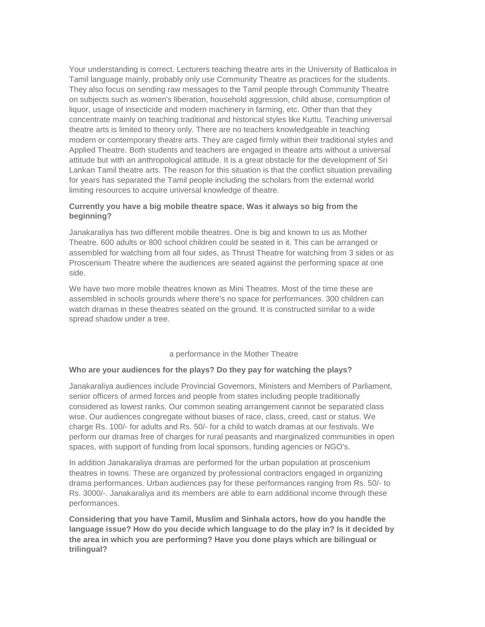Your understanding is correct. Lecturers teaching theatre arts in the University of Batticaloa in Tamil language mainly, probably only use Community Theatre as practices for the students. They also focus on sending raw messages to the Tamil people through Community Theatre on subjects such as women's liberation, household aggression, child abuse, consumption of liquor, usage of insecticide and modern machinery in farming, etc. Other than that they concentrate mainly on teaching traditional and historical styles like Kuttu. Teaching universal theatre arts is limited to theory only. There are no teachers knowledgeable in teaching modern or contemporary theatre arts. They are caged firmly within their traditional styles and Applied Theatre. Both students and teachers are engaged in theatre arts without a universal attitude but with an anthropological attitude. It is a great obstacle for the development of Sri Lankan Tamil theatre arts. The reason for this situation is that the conflict situation prevailing for years has separated the Tamil people including the scholars from the external world limiting resources to acquire universal knowledge of theatre.

#### **Currently you have a big mobile theatre space. Was it always so big from the beginning?**

Janakaraliya has two different mobile theatres. One is big and known to us as Mother Theatre. 600 adults or 800 school children could be seated in it. This can be arranged or assembled for watching from all four sides, as Thrust Theatre for watching from 3 sides or as Proscenium Theatre where the audiences are seated against the performing space at one side.

We have two more mobile theatres known as Mini Theatres. Most of the time these are assembled in schools grounds where there's no space for performances. 300 children can watch dramas in these theatres seated on the ground. It is constructed similar to a wide spread shadow under a tree.

#### a performance in the Mother Theatre

#### **Who are your audiences for the plays? Do they pay for watching the plays?**

Janakaraliya audiences include Provincial Governors, Ministers and Members of Parliament, senior officers of armed forces and people from states including people traditionally considered as lowest ranks. Our common seating arrangement cannot be separated class wise. Our audiences congregate without biases of race, class, creed, cast or status. We charge Rs. 100/- for adults and Rs. 50/- for a child to watch dramas at our festivals. We perform our dramas free of charges for rural peasants and marginalized communities in open spaces, with support of funding from local sponsors, funding agencies or NGO's.

In addition Janakaraliya dramas are performed for the urban population at proscenium theatres in towns. These are organized by professional contractors engaged in organizing drama performances. Urban audiences pay for these performances ranging from Rs. 50/- to Rs. 3000/-. Janakaraliya and its members are able to earn additional income through these performances.

**Considering that you have Tamil, Muslim and Sinhala actors, how do you handle the language issue? How do you decide which language to do the play in? Is it decided by the area in which you are performing? Have you done plays which are bilingual or trilingual?**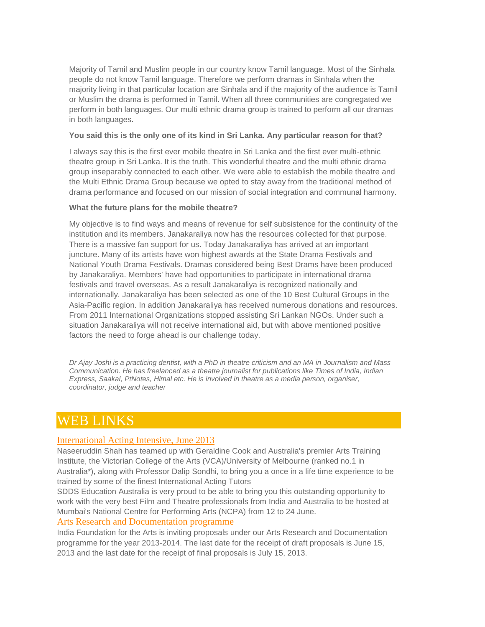Majority of Tamil and Muslim people in our country know Tamil language. Most of the Sinhala people do not know Tamil language. Therefore we perform dramas in Sinhala when the majority living in that particular location are Sinhala and if the majority of the audience is Tamil or Muslim the drama is performed in Tamil. When all three communities are congregated we perform in both languages. Our multi ethnic drama group is trained to perform all our dramas in both languages.

#### **You said this is the only one of its kind in Sri Lanka. Any particular reason for that?**

I always say this is the first ever mobile theatre in Sri Lanka and the first ever multi-ethnic theatre group in Sri Lanka. It is the truth. This wonderful theatre and the multi ethnic drama group inseparably connected to each other. We were able to establish the mobile theatre and the Multi Ethnic Drama Group because we opted to stay away from the traditional method of drama performance and focused on our mission of social integration and communal harmony.

#### **What the future plans for the mobile theatre?**

My objective is to find ways and means of revenue for self subsistence for the continuity of the institution and its members. Janakaraliya now has the resources collected for that purpose. There is a massive fan support for us. Today Janakaraliya has arrived at an important juncture. Many of its artists have won highest awards at the State Drama Festivals and National Youth Drama Festivals. Dramas considered being Best Drams have been produced by Janakaraliya. Members' have had opportunities to participate in international drama festivals and travel overseas. As a result Janakaraliya is recognized nationally and internationally. Janakaraliya has been selected as one of the 10 Best Cultural Groups in the Asia-Pacific region. In addition Janakaraliya has received numerous donations and resources. From 2011 International Organizations stopped assisting Sri Lankan NGOs. Under such a situation Janakaraliya will not receive international aid, but with above mentioned positive factors the need to forge ahead is our challenge today.

*Dr Ajay Joshi is a practicing dentist, with a PhD in theatre criticism and an MA in Journalism and Mass Communication. He has freelanced as a theatre journalist for publications like Times of India, Indian Express, Saakal, PtNotes, Himal etc. He is involved in theatre as a media person, organiser, coordinator, judge and teacher*

## WEB LINKS

#### [International Acting Intensive, June 2013](http://orgmail.mailpro.io/nok.x?e=amFuYWthcmFsaXlhQGdtYWlsLmNvbQ==&j=ODJmN2E5N2VlODZiNDdjNzdmM2FjMzRmMTJiMDVhMTk=&s=dGhlYXRyZWZvcnVt&l=http%3A%2F%2Fsddseducation.com%2F)

Naseeruddin Shah has teamed up with Geraldine Cook and Australia's premier Arts Training Institute, the Victorian College of the Arts (VCA)/University of Melbourne (ranked no.1 in Australia\*), along with Professor Dalip Sondhi, to bring you a once in a life time experience to be trained by some of the finest International Acting Tutors

SDDS Education Australia is very proud to be able to bring you this outstanding opportunity to work with the very best Film and Theatre professionals from India and Australia to be hosted at Mumbai's National Centre for Performing Arts (NCPA) from 12 to 24 June.

#### [Arts Research and Documentation programme](http://orgmail.mailpro.io/nok.x?e=amFuYWthcmFsaXlhQGdtYWlsLmNvbQ==&j=ODJmN2E5N2VlODZiNDdjNzdmM2FjMzRmMTJiMDVhMTk=&s=dGhlYXRyZWZvcnVt&l=http%3A%2F%2Fwww.indiaifa.org%2Fpdf%2Fard%2F2013%2FEnglish_ARD_RFP-2013.pdf)

India Foundation for the Arts is inviting proposals under our Arts Research and Documentation programme for the year 2013-2014. The last date for the receipt of draft proposals is June 15, 2013 and the last date for the receipt of final proposals is July 15, 2013.